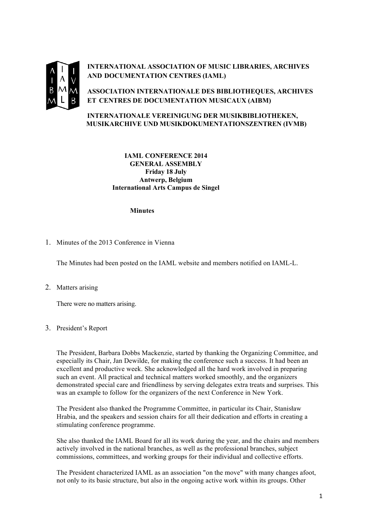

**INTERNATIONAL ASSOCIATION OF MUSIC LIBRARIES, ARCHIVES AND DOCUMENTATION CENTRES (IAML)**

**ASSOCIATION INTERNATIONALE DES BIBLIOTHEQUES, ARCHIVES ET CENTRES DE DOCUMENTATION MUSICAUX (AIBM)**

# **INTERNATIONALE VEREINIGUNG DER MUSIKBIBLIOTHEKEN, MUSIKARCHIVE UND MUSIKDOKUMENTATIONSZENTREN (IVMB)**

# **IAML CONFERENCE 2014 GENERAL ASSEMBLY Friday 18 July Antwerp, Belgium International Arts Campus de Singel**

## **Minutes**

1. Minutes of the 2013 Conference in Vienna

The Minutes had been posted on the IAML website and members notified on IAML-L.

2. Matters arising

There were no matters arising.

3. President's Report

The President, Barbara Dobbs Mackenzie, started by thanking the Organizing Committee, and especially its Chair, Jan Dewilde, for making the conference such a success. It had been an excellent and productive week. She acknowledged all the hard work involved in preparing such an event. All practical and technical matters worked smoothly, and the organizers demonstrated special care and friendliness by serving delegates extra treats and surprises. This was an example to follow for the organizers of the next Conference in New York.

The President also thanked the Programme Committee, in particular its Chair, Stanisław Hrabia, and the speakers and session chairs for all their dedication and efforts in creating a stimulating conference programme.

She also thanked the IAML Board for all its work during the year, and the chairs and members actively involved in the national branches, as well as the professional branches, subject commissions, committees, and working groups for their individual and collective efforts.

The President characterized IAML as an association "on the move" with many changes afoot, not only to its basic structure, but also in the ongoing active work within its groups. Other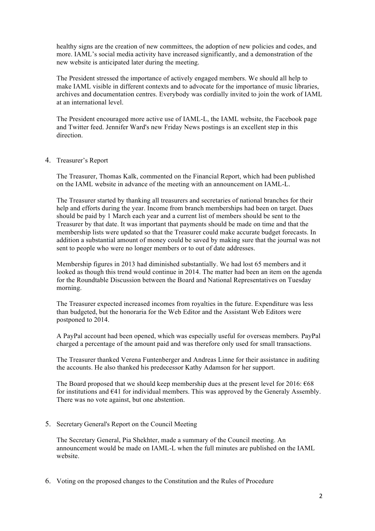healthy signs are the creation of new committees, the adoption of new policies and codes, and more. IAML's social media activity have increased significantly, and a demonstration of the new website is anticipated later during the meeting.

The President stressed the importance of actively engaged members. We should all help to make IAML visible in different contexts and to advocate for the importance of music libraries, archives and documentation centres. Everybody was cordially invited to join the work of IAML at an international level.

The President encouraged more active use of IAML-L, the IAML website, the Facebook page and Twitter feed. Jennifer Ward's new Friday News postings is an excellent step in this direction.

#### 4. Treasurer's Report

The Treasurer, Thomas Kalk, commented on the Financial Report, which had been published on the IAML website in advance of the meeting with an announcement on IAML-L.

The Treasurer started by thanking all treasurers and secretaries of national branches for their help and efforts during the year. Income from branch memberships had been on target. Dues should be paid by 1 March each year and a current list of members should be sent to the Treasurer by that date. It was important that payments should be made on time and that the membership lists were updated so that the Treasurer could make accurate budget forecasts. In addition a substantial amount of money could be saved by making sure that the journal was not sent to people who were no longer members or to out of date addresses.

Membership figures in 2013 had diminished substantially. We had lost 65 members and it looked as though this trend would continue in 2014. The matter had been an item on the agenda for the Roundtable Discussion between the Board and National Representatives on Tuesday morning.

The Treasurer expected increased incomes from royalties in the future. Expenditure was less than budgeted, but the honoraria for the Web Editor and the Assistant Web Editors were postponed to 2014.

A PayPal account had been opened, which was especially useful for overseas members. PayPal charged a percentage of the amount paid and was therefore only used for small transactions.

The Treasurer thanked Verena Funtenberger and Andreas Linne for their assistance in auditing the accounts. He also thanked his predecessor Kathy Adamson for her support.

The Board proposed that we should keep membership dues at the present level for 2016:  $668$ for institutions and  $E$ 41 for individual members. This was approved by the Generaly Assembly. There was no vote against, but one abstention.

5. Secretary General's Report on the Council Meeting

The Secretary General, Pia Shekhter, made a summary of the Council meeting. An announcement would be made on IAML-L when the full minutes are published on the IAML website.

6. Voting on the proposed changes to the Constitution and the Rules of Procedure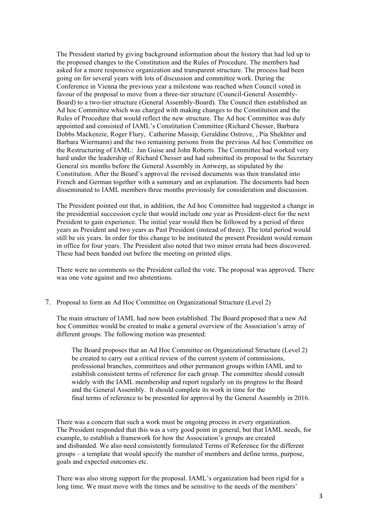The President started by giving background information about the history that had led up to the proposed changes to the Constitution and the Rules of Procedure. The members had asked for a more responsive organization and transparent structure. The process had been going on for several years with lots of discussion and committee work. During the Conference in Vienna the previous year a milestone was reached when Council voted in favour of the proposal to move from a three-tier structure (Council-General Assembly-Board) to a two-tier structure (General Assembly-Board). The Council then established an Ad hoc Committee which was charged with making changes to the Constitution and the Rules of Procedure that would reflect the new structure. The Ad hoc Committee was duly appointed and consisted of IAML's Constitution Committee (Richard Chesser, Barbara Dobbs Mackenzie, Roger Flury, Catherine Massip, Geraldine Ostrove, , Pia Shekhter and Barbara Wiermann) and the two remaining persons from the previous Ad hoc Committee on the Restructuring of IAML: Jan Guise and John Roberts. The Committee had worked very hard under the leadership of Richard Chesser and had submitted its proposal to the Secretary General six months before the General Assembly in Antwerp, as stipulated by the Constitution. After the Board's approval the revised documents was then translated into French and German together with a summary and an explanation. The documents had been disseminated to IAML members three months previously for consideration and discussion.

The President pointed out that, in addition, the Ad hoc Committee had suggested a change in the presidential succession cycle that would include one year as President-elect for the next President to gain experience. The initial year would then be followed by a period of three years as President and two years as Past President (instead of three). The total period would still be six years. In order for this change to be instituted the present President would remain in office for four years. The President also noted that two minor errata had been discovered. These had been handed out before the meeting on printed slips.

There were no comments so the President called the vote. The proposal was approved. There was one vote against and two abstentions.

7. Proposal to form an Ad Hoc Committee on Organizational Structure (Level 2)

The main structure of IAML had now been established. The Board proposed that a new Ad hoc Committee would be created to make a general overview of the Association's array of different groups. The following motion was presented:

The Board proposes that an Ad Hoc Committee on Organizational Structure (Level 2) be created to carry out a critical review of the current system of commissions, professional branches, committees and other permanent groups within IAML and to establish consistent terms of reference for each group. The committee should consult widely with the IAML membership and report regularly on its progress to the Board and the General Assembly. It should complete its work in time for the final terms of reference to be presented for approval by the General Assembly in 2016.

There was a concern that such a work must be ongoing process in every organization. The President responded that this was a very good point in general, but that IAML needs, for example, to establish a framework for how the Association's groups are created and disbanded. We also need consistently formulated Terms of Reference for the different groups – a template that would specify the number of members and define terms, purpose, goals and expected outcomes etc.

There was also strong support for the proposal. IAML's organization had been rigid for a long time. We must move with the times and be sensitive to the needs of the members'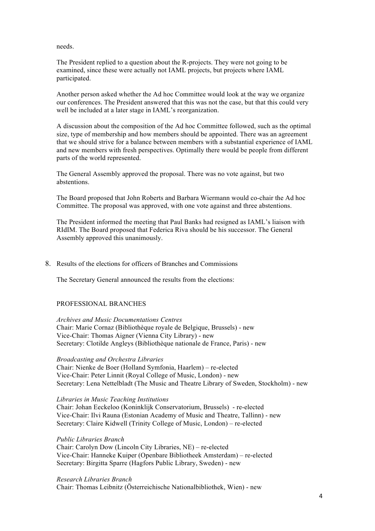needs.

The President replied to a question about the R-projects. They were not going to be examined, since these were actually not IAML projects, but projects where IAML participated.

Another person asked whether the Ad hoc Committee would look at the way we organize our conferences. The President answered that this was not the case, but that this could very well be included at a later stage in IAML's reorganization.

A discussion about the composition of the Ad hoc Committee followed, such as the optimal size, type of membership and how members should be appointed. There was an agreement that we should strive for a balance between members with a substantial experience of IAML and new members with fresh perspectives. Optimally there would be people from different parts of the world represented.

The General Assembly approved the proposal. There was no vote against, but two abstentions.

The Board proposed that John Roberts and Barbara Wiermann would co-chair the Ad hoc Committee. The proposal was approved, with one vote against and three abstentions.

The President informed the meeting that Paul Banks had resigned as IAML's liaison with RIdIM. The Board proposed that Federica Riva should be his successor. The General Assembly approved this unanimously.

### 8. Results of the elections for officers of Branches and Commissions

The Secretary General announced the results from the elections:

## PROFESSIONAL BRANCHES

*Archives and Music Documentations Centres* Chair: Marie Cornaz (Bibliothèque royale de Belgique, Brussels) - new Vice-Chair: Thomas Aigner (Vienna City Library) - new Secretary: Clotilde Angleys (Bibliothèque nationale de France, Paris) - new

#### *Broadcasting and Orchestra Libraries*

Chair: Nienke de Boer (Holland Symfonia, Haarlem) – re-elected Vice-Chair: Peter Linnit (Royal College of Music, London) - new Secretary: Lena Nettelbladt (The Music and Theatre Library of Sweden, Stockholm) - new

### *Libraries in Music Teaching Institutions*

Chair: Johan Eeckeloo (Koninklijk Conservatorium, Brussels) - re-elected Vice-Chair: Ilvi Rauna (Estonian Academy of Music and Theatre, Tallinn) - new Secretary: Claire Kidwell (Trinity College of Music, London) – re-elected

### *Public Libraries Branch*

Chair: Carolyn Dow (Lincoln City Libraries, NE) – re-elected Vice-Chair: Hanneke Kuiper (Openbare Bibliotheek Amsterdam) – re-elected Secretary: Birgitta Sparre (Hagfors Public Library, Sweden) - new

*Research Libraries Branch*

Chair: Thomas Leibnitz (Österreichische Nationalbibliothek, Wien) - new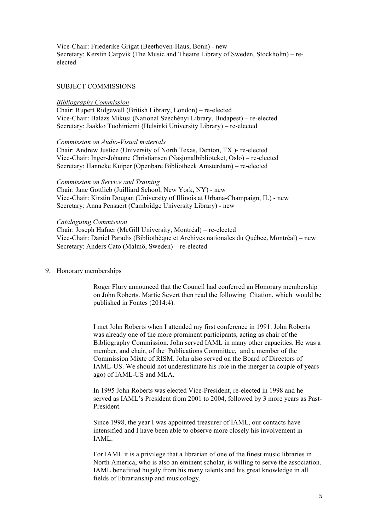Vice-Chair: Friederike Grigat (Beethoven-Haus, Bonn) - new Secretary: Kerstin Carpvik (The Music and Theatre Library of Sweden, Stockholm) – reelected

## SUBJECT COMMISSIONS

#### *Bibliography Commission*

Chair: Rupert Ridgewell (British Library, London) – re-elected Vice-Chair: Balázs Mikusi (National Széchényi Library, Budapest) – re-elected Secretary: Jaakko Tuohiniemi (Helsinki University Library) – re-elected

*Commission on Audio-Visual materials*

Chair: Andrew Justice (University of North Texas, Denton, TX )- re-elected Vice-Chair: Inger-Johanne Christiansen (Nasjonalbiblioteket, Oslo) – re-elected Secretary: Hanneke Kuiper (Openbare Bibliotheek Amsterdam) – re-elected

#### *Commission on Service and Training*

Chair: Jane Gottlieb (Juilliard School, New York, NY) - new Vice-Chair: Kirstin Dougan (University of Illinois at Urbana-Champaign, IL) - new Secretary: Anna Pensaert (Cambridge University Library) - new

### *Cataloguing Commission*

Chair: Joseph Hafner (McGill University, Montréal) – re-elected Vice-Chair: Daniel Paradis (Bibliothèque et Archives nationales du Québec, Montréal) – new Secretary: Anders Cato (Malmö, Sweden) – re-elected

9. Honorary memberships

Roger Flury announced that the Council had conferred an Honorary membership on John Roberts. Martie Severt then read the following Citation, which would be published in Fontes (2014:4).

I met John Roberts when I attended my first conference in 1991. John Roberts was already one of the more prominent participants, acting as chair of the Bibliography Commission. John served IAML in many other capacities. He was a member, and chair, of the Publications Committee, and a member of the Commission Mixte of RISM. John also served on the Board of Directors of IAML-US. We should not underestimate his role in the merger (a couple of years ago) of IAML-US and MLA.

In 1995 John Roberts was elected Vice-President, re-elected in 1998 and he served as IAML's President from 2001 to 2004, followed by 3 more years as Past-President.

Since 1998, the year I was appointed treasurer of IAML, our contacts have intensified and I have been able to observe more closely his involvement in IAML.

For IAML it is a privilege that a librarian of one of the finest music libraries in North America, who is also an eminent scholar, is willing to serve the association. IAML benefitted hugely from his many talents and his great knowledge in all fields of librarianship and musicology.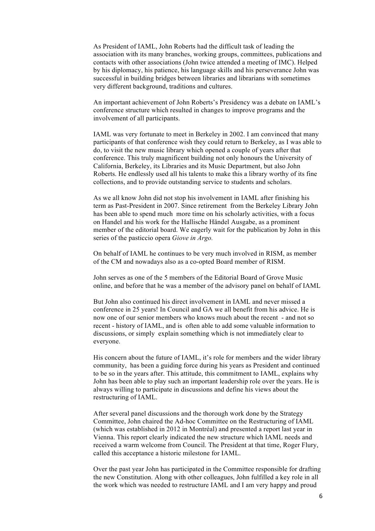As President of IAML, John Roberts had the difficult task of leading the association with its many branches, working groups, committees, publications and contacts with other associations (John twice attended a meeting of IMC). Helped by his diplomacy, his patience, his language skills and his perseverance John was successful in building bridges between libraries and librarians with sometimes very different background, traditions and cultures.

An important achievement of John Roberts's Presidency was a debate on IAML's conference structure which resulted in changes to improve programs and the involvement of all participants.

IAML was very fortunate to meet in Berkeley in 2002. I am convinced that many participants of that conference wish they could return to Berkeley, as I was able to do, to visit the new music library which opened a couple of years after that conference. This truly magnificent building not only honours the University of California, Berkeley, its Libraries and its Music Department, but also John Roberts. He endlessly used all his talents to make this a library worthy of its fine collections, and to provide outstanding service to students and scholars.

As we all know John did not stop his involvement in IAML after finishing his term as Past-President in 2007. Since retirement from the Berkeley Library John has been able to spend much more time on his scholarly activities, with a focus on Handel and his work for the Hallische Händel Ausgabe, as a prominent member of the editorial board. We eagerly wait for the publication by John in this series of the pasticcio opera *Giove in Argo.*

On behalf of IAML he continues to be very much involved in RISM, as member of the CM and nowadays also as a co-opted Board member of RISM.

John serves as one of the 5 members of the Editorial Board of Grove Music online, and before that he was a member of the advisory panel on behalf of IAML

But John also continued his direct involvement in IAML and never missed a conference in 25 years! In Council and GA we all benefit from his advice. He is now one of our senior members who knows much about the recent - and not so recent - history of IAML, and is often able to add some valuable information to discussions, or simply explain something which is not immediately clear to everyone.

His concern about the future of IAML, it's role for members and the wider library community, has been a guiding force during his years as President and continued to be so in the years after. This attitude, this commitment to IAML, explains why John has been able to play such an important leadership role over the years. He is always willing to participate in discussions and define his views about the restructuring of IAML.

After several panel discussions and the thorough work done by the Strategy Committee, John chaired the Ad-hoc Committee on the Restructuring of IAML (which was established in 2012 in Montréal) and presented a report last year in Vienna. This report clearly indicated the new structure which IAML needs and received a warm welcome from Council. The President at that time, Roger Flury, called this acceptance a historic milestone for IAML.

Over the past year John has participated in the Committee responsible for drafting the new Constitution. Along with other colleagues, John fulfilled a key role in all the work which was needed to restructure IAML and I am very happy and proud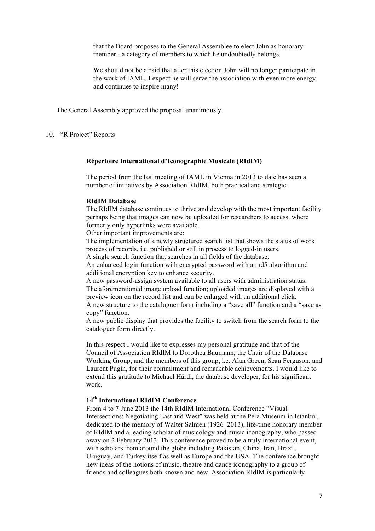that the Board proposes to the General Assemblee to elect John as honorary member - a category of members to which he undoubtedly belongs.

We should not be afraid that after this election John will no longer participate in the work of IAML. I expect he will serve the association with even more energy, and continues to inspire many!

The General Assembly approved the proposal unanimously.

## 10. "R Project" Reports

#### **Répertoire International d'Iconographie Musicale (RIdIM)**

The period from the last meeting of IAML in Vienna in 2013 to date has seen a number of initiatives by Association RIdIM, both practical and strategic.

#### **RIdIM Database**

The RIdIM database continues to thrive and develop with the most important facility perhaps being that images can now be uploaded for researchers to access, where formerly only hyperlinks were available.

Other important improvements are:

The implementation of a newly structured search list that shows the status of work process of records, i.e. published or still in process to logged-in users.

A single search function that searches in all fields of the database.

An enhanced login function with encrypted password with a md5 algorithm and additional encryption key to enhance security.

A new password-assign system available to all users with administration status. The aforementioned image upload function; uploaded images are displayed with a preview icon on the record list and can be enlarged with an additional click. A new structure to the cataloguer form including a "save all" function and a "save as copy" function.

A new public display that provides the facility to switch from the search form to the cataloguer form directly.

In this respect I would like to expresses my personal gratitude and that of the Council of Association RIdIM to Dorothea Baumann, the Chair of the Database Working Group, and the members of this group, i.e. Alan Green, Sean Ferguson, and Laurent Pugin, for their commitment and remarkable achievements. I would like to extend this gratitude to Michael Härdi, the database developer, for his significant work.

## **14th International RIdIM Conference**

From 4 to 7 June 2013 the 14th RIdIM International Conference "Visual Intersections: Negotiating East and West" was held at the Pera Museum in Istanbul, dedicated to the memory of Walter Salmen (1926–2013), life-time honorary member of RIdIM and a leading scholar of musicology and music iconography, who passed away on 2 February 2013. This conference proved to be a truly international event, with scholars from around the globe including Pakistan, China, Iran, Brazil, Uruguay, and Turkey itself as well as Europe and the USA. The conference brought new ideas of the notions of music, theatre and dance iconography to a group of friends and colleagues both known and new. Association RIdIM is particularly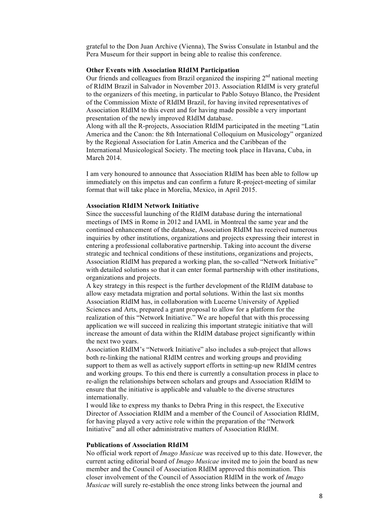grateful to the Don Juan Archive (Vienna), The Swiss Consulate in Istanbul and the Pera Museum for their support in being able to realise this conference.

### **Other Events with Association RIdIM Participation**

Our friends and colleagues from Brazil organized the inspiring  $2<sup>nd</sup>$  national meeting of RIdIM Brazil in Salvador in November 2013. Association RIdIM is very grateful to the organizers of this meeting, in particular to Pablo Sotuyo Blanco, the President of the Commission Mixte of RIdIM Brazil, for having invited representatives of Association RIdIM to this event and for having made possible a very important presentation of the newly improved RIdIM database.

Along with all the R-projects, Association RIdIM participated in the meeting "Latin America and the Canon: the 8th International Colloquium on Musicology" organized by the Regional Association for Latin America and the Caribbean of the International Musicological Society. The meeting took place in Havana, Cuba, in March 2014.

I am very honoured to announce that Association RIdIM has been able to follow up immediately on this impetus and can confirm a future R-project-meeting of similar format that will take place in Morelia, Mexico, in April 2015.

## **Association RIdIM Network Initiative**

Since the successful launching of the RIdIM database during the international meetings of IMS in Rome in 2012 and IAML in Montreal the same year and the continued enhancement of the database, Association RIdIM has received numerous inquiries by other institutions, organizations and projects expressing their interest in entering a professional collaborative partnership. Taking into account the diverse strategic and technical conditions of these institutions, organizations and projects, Association RIdIM has prepared a working plan, the so-called "Network Initiative" with detailed solutions so that it can enter formal partnership with other institutions, organizations and projects.

A key strategy in this respect is the further development of the RIdIM database to allow easy metadata migration and portal solutions. Within the last six months Association RIdIM has, in collaboration with Lucerne University of Applied Sciences and Arts, prepared a grant proposal to allow for a platform for the realization of this "Network Initiative." We are hopeful that with this processing application we will succeed in realizing this important strategic initiative that will increase the amount of data within the RIdIM database project significantly within the next two years.

Association RIdIM's "Network Initiative" also includes a sub-project that allows both re-linking the national RIdIM centres and working groups and providing support to them as well as actively support efforts in setting-up new RIdIM centres and working groups. To this end there is currently a consultation process in place to re-align the relationships between scholars and groups and Association RIdIM to ensure that the initiative is applicable and valuable to the diverse structures internationally.

I would like to express my thanks to Debra Pring in this respect, the Executive Director of Association RIdIM and a member of the Council of Association RIdIM, for having played a very active role within the preparation of the "Network Initiative" and all other administrative matters of Association RIdIM.

## **Publications of Association RIdIM**

No official work report of *Imago Musicae* was received up to this date. However, the current acting editorial board of *Imago Musicae* invited me to join the board as new member and the Council of Association RIdIM approved this nomination. This closer involvement of the Council of Association RIdIM in the work of *Imago Musicae* will surely re-establish the once strong links between the journal and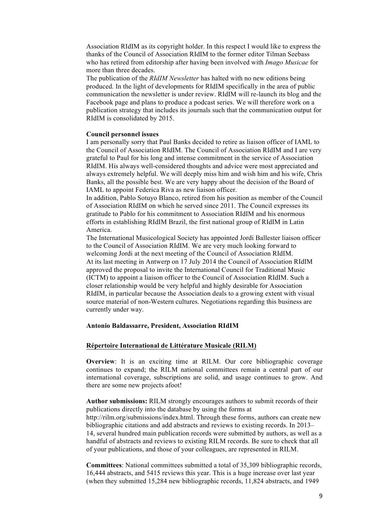Association RIdIM as its copyright holder. In this respect I would like to express the thanks of the Council of Association RIdIM to the former editor Tilman Seebass who has retired from editorship after having been involved with *Imago Musicae* for more than three decades.

The publication of the *RIdIM Newsletter* has halted with no new editions being produced. In the light of developments for RIdIM specifically in the area of public communication the newsletter is under review. RIdIM will re-launch its blog and the Facebook page and plans to produce a podcast series. We will therefore work on a publication strategy that includes its journals such that the communication output for RIdIM is consolidated by 2015.

### **Council personnel issues**

I am personally sorry that Paul Banks decided to retire as liaison officer of IAML to the Council of Association RIdIM. The Council of Association RIdIM and I are very grateful to Paul for his long and intense commitment in the service of Association RIdIM. His always well-considered thoughts and advice were most appreciated and always extremely helpful. We will deeply miss him and wish him and his wife, Chris Banks, all the possible best. We are very happy about the decision of the Board of IAML to appoint Federica Riva as new liaison officer.

In addition, Pablo Sotuyo Blanco, retired from his position as member of the Council of Association RIdIM on which he served since 2011. The Council expresses its gratitude to Pablo for his commitment to Association RIdIM and his enormous efforts in establishing RIdIM Brazil, the first national group of RIdIM in Latin America.

The International Musicological Society has appointed Jordi Ballester liaison officer to the Council of Association RIdIM. We are very much looking forward to welcoming Jordi at the next meeting of the Council of Association RIdIM. At its last meeting in Antwerp on 17 July 2014 the Council of Association RIdIM approved the proposal to invite the International Council for Traditional Music (ICTM) to appoint a liaison officer to the Council of Association RIdIM. Such a closer relationship would be very helpful and highly desirable for Association RIdIM, in particular because the Association deals to a growing extent with visual source material of non-Western cultures. Negotiations regarding this business are currently under way.

## **Antonio Baldassarre, President, Association RIdIM**

#### **Répertoire International de Littérature Musicale (RILM)**

**Overview**: It is an exciting time at RILM. Our core bibliographic coverage continues to expand; the RILM national committees remain a central part of our international coverage, subscriptions are solid, and usage continues to grow. And there are some new projects afoot!

**Author submissions:** RILM strongly encourages authors to submit records of their publications directly into the database by using the forms at http://rilm.org/submissions/index.html. Through these forms, authors can create new bibliographic citations and add abstracts and reviews to existing records. In 2013– 14, several hundred main publication records were submitted by authors, as well as a handful of abstracts and reviews to existing RILM records. Be sure to check that all of your publications, and those of your colleagues, are represented in RILM.

**Committees**: National committees submitted a total of 35,309 bibliographic records, 16,444 abstracts, and 5415 reviews this year. This is a huge increase over last year (when they submitted 15,284 new bibliographic records, 11,824 abstracts, and 1949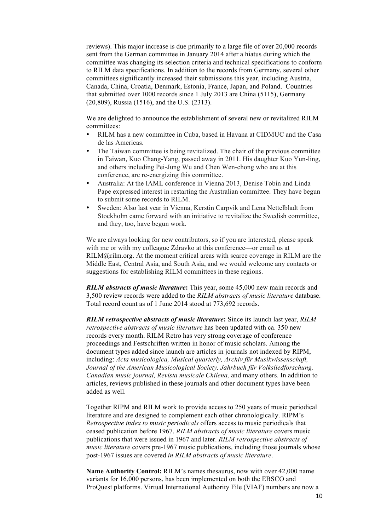reviews). This major increase is due primarily to a large file of over 20,000 records sent from the German committee in January 2014 after a hiatus during which the committee was changing its selection criteria and technical specifications to conform to RILM data specifications. In addition to the records from Germany, several other committees significantly increased their submissions this year, including Austria, Canada, China, Croatia, Denmark, Estonia, France, Japan, and Poland. Countries that submitted over 1000 records since 1 July 2013 are China (5115), Germany (20,809), Russia (1516), and the U.S. (2313).

We are delighted to announce the establishment of several new or revitalized RILM committees:

- RILM has a new committee in Cuba, based in Havana at CIDMUC and the Casa de las Americas.
- The Taiwan committee is being revitalized. The chair of the previous committee in Taiwan, Kuo Chang-Yang, passed away in 2011. His daughter Kuo Yun-ling, and others including Pei-Jung Wu and Chen Wen-chong who are at this conference, are re-energizing this committee.
- Australia: At the IAML conference in Vienna 2013, Denise Tobin and Linda Pape expressed interest in restarting the Australian committee. They have begun to submit some records to RILM.
- Sweden: Also last year in Vienna, Kerstin Carpvik and Lena Nettelbladt from Stockholm came forward with an initiative to revitalize the Swedish committee, and they, too, have begun work.

We are always looking for new contributors, so if you are interested, please speak with me or with my colleague Zdravko at this conference—or email us at RILM@rilm.org. At the moment critical areas with scarce coverage in RILM are the Middle East, Central Asia, and South Asia, and we would welcome any contacts or suggestions for establishing RILM committees in these regions.

*RILM abstracts of music literature***:** This year, some 45,000 new main records and 3,500 review records were added to the *RILM abstracts of music literature* database. Total record count as of 1 June 2014 stood at 773,692 records.

*RILM retrospective abstracts of music literature***:** Since its launch last year, *RILM retrospective abstracts of music literature* has been updated with ca. 350 new records every month. RILM Retro has very strong coverage of conference proceedings and Festschriften written in honor of music scholars. Among the document types added since launch are articles in journals not indexed by RIPM, including: *Acta musicologica, Musical quarterly, Archiv für Musikwissenschaft, Journal of the American Musicological Society, Jahrbuch für Volksliedforschung, Canadian music journal, Revista musicale Chilena,* and many others. In addition to articles, reviews published in these journals and other document types have been added as well.

Together RIPM and RILM work to provide access to 250 years of music periodical literature and are designed to complement each other chronologically. RIPM's *Retrospective index to music periodicals* offers access to music periodicals that ceased publication before 1967. *RILM abstracts of music literature* covers music publications that were issued in 1967 and later. *RILM retrospective abstracts of music literature* covers pre-1967 music publications, including those journals whose post-1967 issues are covered *in RILM abstracts of music literature*.

**Name Authority Control:** RILM's names thesaurus, now with over 42,000 name variants for 16,000 persons, has been implemented on both the EBSCO and ProQuest platforms. Virtual International Authority File (VIAF) numbers are now a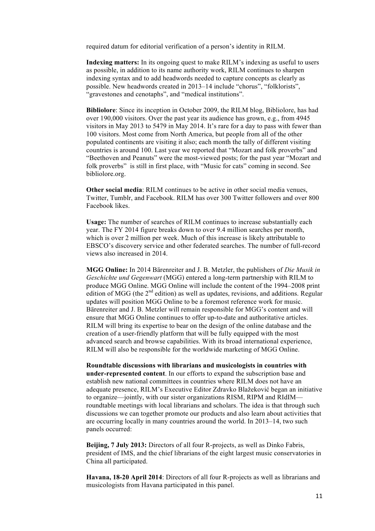required datum for editorial verification of a person's identity in RILM.

**Indexing matters:** In its ongoing quest to make RILM's indexing as useful to users as possible, in addition to its name authority work, RILM continues to sharpen indexing syntax and to add headwords needed to capture concepts as clearly as possible. New headwords created in 2013–14 include "chorus", "folklorists", "gravestones and cenotaphs", and "medical institutions".

**Bibliolore**: Since its inception in October 2009, the RILM blog, Bibliolore, has had over 190,000 visitors. Over the past year its audience has grown, e.g., from 4945 visitors in May 2013 to 5479 in May 2014. It's rare for a day to pass with fewer than 100 visitors. Most come from North America, but people from all of the other populated continents are visiting it also; each month the tally of different visiting countries is around 100. Last year we reported that "Mozart and folk proverbs" and "Beethoven and Peanuts" were the most-viewed posts; for the past year "Mozart and folk proverbs" is still in first place, with "Music for cats" coming in second. See bibliolore.org.

**Other social media**: RILM continues to be active in other social media venues, Twitter, Tumblr, and Facebook. RILM has over 300 Twitter followers and over 800 Facebook likes.

**Usage:** The number of searches of RILM continues to increase substantially each year. The FY 2014 figure breaks down to over 9.4 million searches per month, which is over 2 million per week. Much of this increase is likely attributable to EBSCO's discovery service and other federated searches. The number of full-record views also increased in 2014.

**MGG Online:** In 2014 Bärenreiter and J. B. Metzler, the publishers of *Die Musik in Geschichte und Gegenwart* (MGG) entered a long-term partnership with RILM to produce MGG Online. MGG Online will include the content of the 1994–2008 print edition of MGG (the  $2<sup>nd</sup>$  edition) as well as updates, revisions, and additions. Regular updates will position MGG Online to be a foremost reference work for music. Bärenreiter and J. B. Metzler will remain responsible for MGG's content and will ensure that MGG Online continues to offer up-to-date and authoritative articles. RILM will bring its expertise to bear on the design of the online database and the creation of a user-friendly platform that will be fully equipped with the most advanced search and browse capabilities. With its broad international experience, RILM will also be responsible for the worldwide marketing of MGG Online.

**Roundtable discussions with librarians and musicologists in countries with under-represented content**. In our efforts to expand the subscription base and establish new national committees in countries where RILM does not have an adequate presence, RILM's Executive Editor Zdravko Blažeković began an initiative to organize—jointly, with our sister organizations RISM, RIPM and RIdIM roundtable meetings with local librarians and scholars. The idea is that through such discussions we can together promote our products and also learn about activities that are occurring locally in many countries around the world. In 2013–14, two such panels occurred:

**Beijing, 7 July 2013:** Directors of all four R-projects, as well as Dinko Fabris, president of IMS, and the chief librarians of the eight largest music conservatories in China all participated.

**Havana, 18-20 April 2014**: Directors of all four R-projects as well as librarians and musicologists from Havana participated in this panel.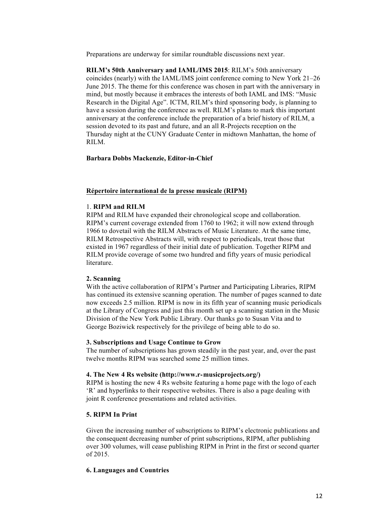Preparations are underway for similar roundtable discussions next year.

**RILM's 50th Anniversary and IAML/IMS 2015**: RILM's 50th anniversary coincides (nearly) with the IAML/IMS joint conference coming to New York 21–26 June 2015. The theme for this conference was chosen in part with the anniversary in mind, but mostly because it embraces the interests of both IAML and IMS: "Music Research in the Digital Age". ICTM, RILM's third sponsoring body, is planning to have a session during the conference as well. RILM's plans to mark this important anniversary at the conference include the preparation of a brief history of RILM, a session devoted to its past and future, and an all R-Projects reception on the Thursday night at the CUNY Graduate Center in midtown Manhattan, the home of RILM.

## **Barbara Dobbs Mackenzie, Editor-in-Chief**

### **Répertoire international de la presse musicale (RIPM)**

### 1. **RIPM and RILM**

RIPM and RILM have expanded their chronological scope and collaboration. RIPM's current coverage extended from 1760 to 1962; it will now extend through 1966 to dovetail with the RILM Abstracts of Music Literature. At the same time, RILM Retrospective Abstracts will, with respect to periodicals, treat those that existed in 1967 regardless of their initial date of publication. Together RIPM and RILM provide coverage of some two hundred and fifty years of music periodical **literature** 

## **2. Scanning**

With the active collaboration of RIPM's Partner and Participating Libraries, RIPM has continued its extensive scanning operation. The number of pages scanned to date now exceeds 2.5 million. RIPM is now in its fifth year of scanning music periodicals at the Library of Congress and just this month set up a scanning station in the Music Division of the New York Public Library. Our thanks go to Susan Vita and to George Boziwick respectively for the privilege of being able to do so.

## **3. Subscriptions and Usage Continue to Grow**

The number of subscriptions has grown steadily in the past year, and, over the past twelve months RIPM was searched some 25 million times.

#### **4. The New 4 Rs website (http://www.r**-**musicprojects.org/)**

RIPM is hosting the new 4 Rs website featuring a home page with the logo of each 'R' and hyperlinks to their respective websites. There is also a page dealing with joint R conference presentations and related activities.

## **5. RIPM In Print**

Given the increasing number of subscriptions to RIPM's electronic publications and the consequent decreasing number of print subscriptions, RIPM, after publishing over 300 volumes, will cease publishing RIPM in Print in the first or second quarter of 2015.

#### **6. Languages and Countries**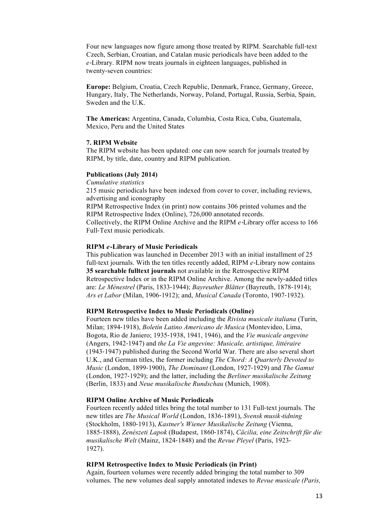Four new languages now figure among those treated by RIPM. Searchable full-text Czech, Serbian, Croatian, and Catalan music periodicals have been added to the *e*-Library. RIPM now treats journals in eighteen languages, published in twenty-seven countries:

**Europe:** Belgium, Croatia, Czech Republic, Denmark, France, Germany, Greece, Hungary, Italy, The Netherlands, Norway, Poland, Portugal, Russia, Serbia, Spain, Sweden and the U.K.

**The Americas:** Argentina, Canada, Columbia, Costa Rica, Cuba, Guatemala, Mexico, Peru and the United States

### **7. RIPM Website**

The RIPM website has been updated: one can now search for journals treated by RIPM, by title, date, country and RIPM publication.

#### **Publications (July 2014)**

*Cumulative statistics* 215 music periodicals have been indexed from cover to cover, including reviews, advertising and iconography RIPM Retrospective Index (in print) now contains 306 printed volumes and the

RIPM Retrospective Index (Online), 726,000 annotated records. Collectively, the RIPM Online Archive and the RIPM *e*-Library offer access to 166

Full-Text music periodicals.

## **RIPM** *e*-**Library of Music Periodicals**

This publication was launched in December 2013 with an initial installment of 25 full-text journals. With the ten titles recently added, RIPM *e*-Library now contains **35 searchable fulltext journals** not available in the Retrospective RIPM Retrospective Index or in the RIPM Online Archive. Among the newly-added titles are: *Le Ménestrel* (Paris, 1833-1944); *Bayreuther Blätter* (Bayreuth, 1878-1914); *Ars et Labor* (Milan, 1906-1912); and, *Musical Canada* (Toronto, 1907-1932).

## **RIPM Retrospective Index to Music Periodicals (Online)**

Fourteen new titles have been added including the *Rivista musicale italiana* (Turin, Milan; 1894-1918), *Boletín Latino Americano de Musica* (Montevideo, Lima, Bogota, Rio de Janiero; 1935-1938, 1941, 1946), and the *Vie musicale angevine*  (Angers, 1942-1947) and *the La Vie angevine: Musicale, artistique, littéraire*  (1943-1947) published during the Second World War. There are also several short U.K., and German titles, the former including *The Chord: A Quarterly Devoted to Music* (London, 1899-1900), *The Dominant* (London, 1927-1929) and *The Gamut*  (London, 1927-1929); and the latter, including the *Berliner musikalische Zeitung*  (Berlin, 1833) and *Neue musikalische Rundschau* (Munich, 1908).

#### **RIPM Online Archive of Music Periodicals**

Fourteen recently added titles bring the total number to 131 Full-text journals*.* The new titles are *The Musical World* (London, 1836-1891), *Svensk musik*-*tidning*  (Stockholm, 1880-1913), *Kastner's Wiener Musikalische Zeitung* (Vienna, 1885-1888), *Zenészeti Lapok* (Budapest, 1860-1874), *Cäcilia, eine Zeitschrift für die musikalische Welt* (Mainz, 1824-1848) and the *Revue Pleyel* (Paris, 1923- 1927).

#### **RIPM Retrospective Index to Music Periodicals (in Print)**

Again, fourteen volumes were recently added bringing the total number to 309 volumes. The new volumes deal supply annotated indexes to *Revue musicale (Paris,*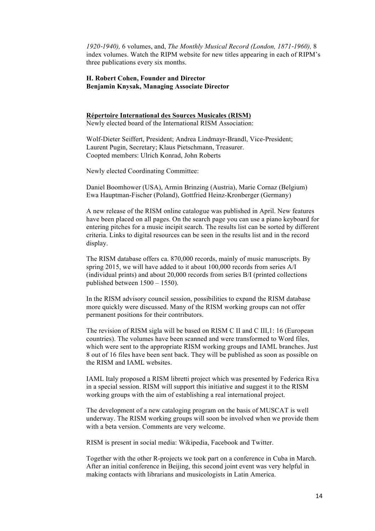*1920*-*1940),* 6 volumes, and, *The Monthly Musical Record (London, 1871*-*1960),* 8 index volumes. Watch the RIPM website for new titles appearing in each of RIPM's three publications every six months.

## **H. Robert Cohen, Founder and Director Benjamin Knysak, Managing Associate Director**

### **Répertoire International des Sources Musicales (RISM)** Newly elected board of the International RISM Association:

Wolf-Dieter Seiffert, President; Andrea Lindmayr-Brandl, Vice-President; Laurent Pugin, Secretary; Klaus Pietschmann, Treasurer. Coopted members: Ulrich Konrad, John Roberts

Newly elected Coordinating Committee:

Daniel Boomhower (USA), Armin Brinzing (Austria), Marie Cornaz (Belgium) Ewa Hauptman-Fischer (Poland), Gottfried Heinz-Kronberger (Germany)

A new release of the RISM online catalogue was published in April. New features have been placed on all pages. On the search page you can use a piano keyboard for entering pitches for a music incipit search. The results list can be sorted by different criteria. Links to digital resources can be seen in the results list and in the record display.

The RISM database offers ca. 870,000 records, mainly of music manuscripts. By spring 2015, we will have added to it about 100,000 records from series A/I (individual prints) and about 20,000 records from series B/I (printed collections published between 1500 – 1550).

In the RISM advisory council session, possibilities to expand the RISM database more quickly were discussed. Many of the RISM working groups can not offer permanent positions for their contributors.

The revision of RISM sigla will be based on RISM C II and C III,1: 16 (European countries). The volumes have been scanned and were transformed to Word files, which were sent to the appropriate RISM working groups and IAML branches. Just 8 out of 16 files have been sent back. They will be published as soon as possible on the RISM and IAML websites.

IAML Italy proposed a RISM libretti project which was presented by Federica Riva in a special session. RISM will support this initiative and suggest it to the RISM working groups with the aim of establishing a real international project.

The development of a new cataloging program on the basis of MUSCAT is well underway. The RISM working groups will soon be involved when we provide them with a beta version. Comments are very welcome.

RISM is present in social media: Wikipedia, Facebook and Twitter.

Together with the other R-projects we took part on a conference in Cuba in March. After an initial conference in Beijing, this second joint event was very helpful in making contacts with librarians and musicologists in Latin America.